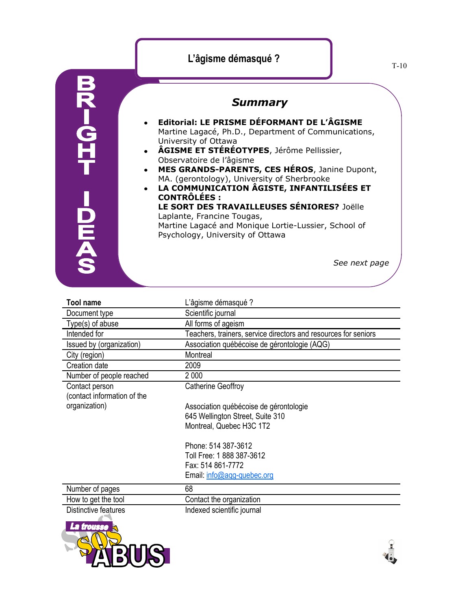## **L'âgisme démasqué ?**



## *Summary*

- **Editorial: LE PRISME DÉFORMANT DE L'ÂGISME**   $\bullet$ Martine Lagacé, Ph.D., Department of Communications, University of Ottawa
- **ÂGISME ET STÉRÉOTYPES**, Jérôme Pellissier, Observatoire de l'âgisme
- **MES GRANDS-PARENTS, CES HÉROS**, Janine Dupont,  $\bullet$ MA. (gerontology), University of Sherbrooke
	- **LA COMMUNICATION ÂGISTE, INFANTILISÉES ET CONTRÔLÉES : LE SORT DES TRAVAILLEUSES SÉNIORES?** Joëlle

Laplante, Francine Tougas, Martine Lagacé and Monique Lortie-Lussier, School of

Psychology, University of Ottawa

*See next page*

| <b>Tool name</b>                              | L'âgisme démasqué ?                                             |
|-----------------------------------------------|-----------------------------------------------------------------|
| Document type                                 | Scientific journal                                              |
| Type(s) of abuse                              | All forms of ageism                                             |
| Intended for                                  | Teachers, trainers, service directors and resources for seniors |
| Issued by (organization)                      | Association québécoise de gérontologie (AQG)                    |
| City (region)                                 | Montreal                                                        |
| Creation date                                 | 2009                                                            |
| Number of people reached                      | 2 000                                                           |
| Contact person<br>(contact information of the | Catherine Geoffroy                                              |
| organization)                                 | Association québécoise de gérontologie                          |
|                                               | 645 Wellington Street, Suite 310                                |
|                                               | Montreal, Quebec H3C 1T2                                        |
|                                               | Phone: 514 387-3612                                             |
|                                               | Toll Free: 1 888 387-3612                                       |
|                                               | Fax: 514 861-7772                                               |
|                                               | Email: info@agg-quebec.org                                      |
| Number of pages                               | 68                                                              |
| How to get the tool                           | Contact the organization                                        |
| Distinctive features                          | Indexed scientific journal                                      |
| La trousse                                    |                                                                 |